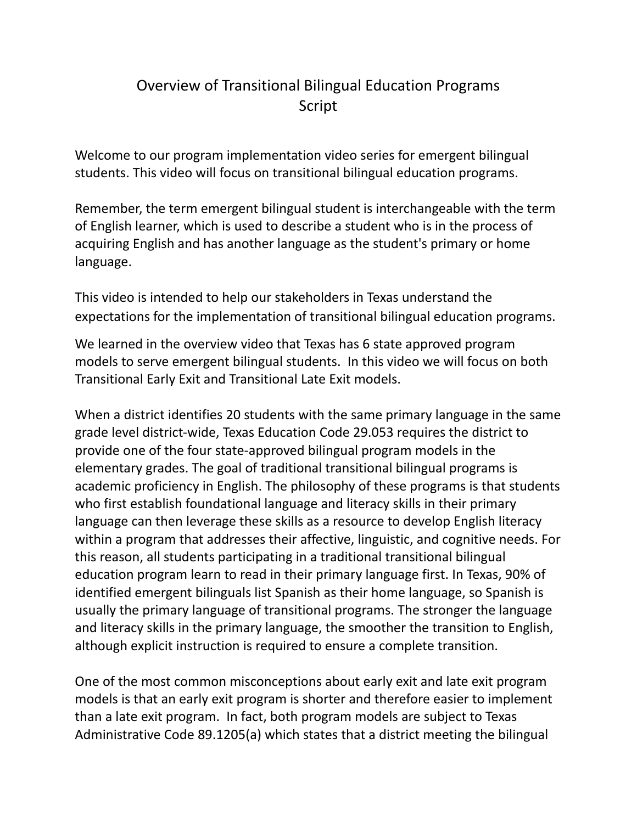## Overview of Transitional Bilingual Education Programs Script

Welcome to our program implementation video series for emergent bilingual students. This video will focus on transitional bilingual education programs.

Remember, the term emergent bilingual student is interchangeable with the term of English learner, which is used to describe a student who is in the process of acquiring English and has another language as the student's primary or home language.

This video is intended to help our stakeholders in Texas understand the expectations for the implementation of transitional bilingual education programs.

We learned in the overview video that Texas has 6 state approved program models to serve emergent bilingual students. In this video we will focus on both Transitional Early Exit and Transitional Late Exit models.

When a district identifies 20 students with the same primary language in the same grade level district-wide, Texas Education Code 29.053 requires the district to provide one of the four state-approved bilingual program models in the elementary grades. The goal of traditional transitional bilingual programs is academic proficiency in English. The philosophy of these programs is that students who first establish foundational language and literacy skills in their primary language can then leverage these skills as a resource to develop English literacy within a program that addresses their affective, linguistic, and cognitive needs. For this reason, all students participating in a traditional transitional bilingual education program learn to read in their primary language first. In Texas, 90% of identified emergent bilinguals list Spanish as their home language, so Spanish is usually the primary language of transitional programs. The stronger the language and literacy skills in the primary language, the smoother the transition to English, although explicit instruction is required to ensure a complete transition.

One of the most common misconceptions about early exit and late exit program models is that an early exit program is shorter and therefore easier to implement than a late exit program. In fact, both program models are subject to Texas Administrative Code 89.1205(a) which states that a district meeting the bilingual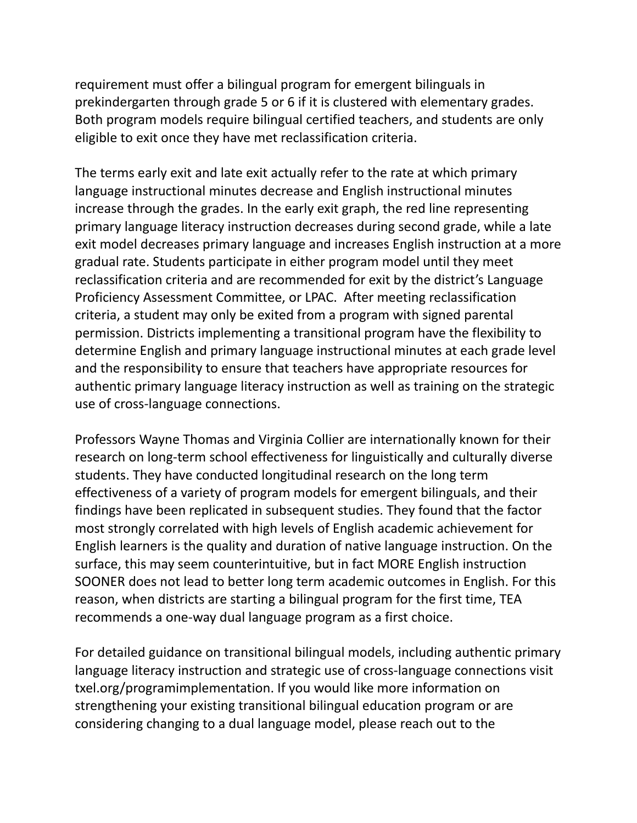requirement must offer a bilingual program for emergent bilinguals in prekindergarten through grade 5 or 6 if it is clustered with elementary grades. Both program models require bilingual certified teachers, and students are only eligible to exit once they have met reclassification criteria.

The terms early exit and late exit actually refer to the rate at which primary language instructional minutes decrease and English instructional minutes increase through the grades. In the early exit graph, the red line representing primary language literacy instruction decreases during second grade, while a late exit model decreases primary language and increases English instruction at a more gradual rate. Students participate in either program model until they meet reclassification criteria and are recommended for exit by the district's Language Proficiency Assessment Committee, or LPAC. After meeting reclassification criteria, a student may only be exited from a program with signed parental permission. Districts implementing a transitional program have the flexibility to determine English and primary language instructional minutes at each grade level and the responsibility to ensure that teachers have appropriate resources for authentic primary language literacy instruction as well as training on the strategic use of cross-language connections.

Professors Wayne Thomas and Virginia Collier are internationally known for their research on long-term school effectiveness for linguistically and culturally diverse students. They have conducted longitudinal research on the long term effectiveness of a variety of program models for emergent bilinguals, and their findings have been replicated in subsequent studies. They found that the factor most strongly correlated with high levels of English academic achievement for English learners is the quality and duration of native language instruction. On the surface, this may seem counterintuitive, but in fact MORE English instruction SOONER does not lead to better long term academic outcomes in English. For this reason, when districts are starting a bilingual program for the first time, TEA recommends a one-way dual language program as a first choice.

For detailed guidance on transitional bilingual models, including authentic primary language literacy instruction and strategic use of cross-language connections visit txel.org/programimplementation. If you would like more information on strengthening your existing transitional bilingual education program or are considering changing to a dual language model, please reach out to the